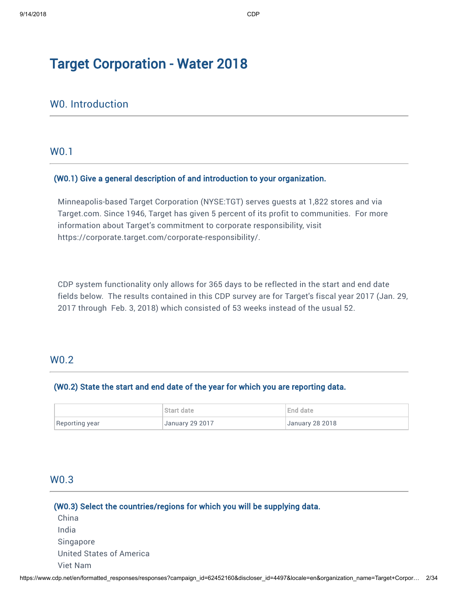# Target Corporation - Water 2018

# W0. Introduction

## W0.1

#### (W0.1) Give a general description of and introduction to your organization.

Minneapolis-based Target Corporation (NYSE:TGT) serves guests at 1,822 stores and via [Target.com](http://Target.com). Since 1946, Target has given 5 percent of its profit to communities. For more information about Target's commitment to corporate responsibility, visit <https://corporate.target.com/corporate-responsibility/>.

CDP system functionality only allows for 365 days to be reflected in the start and end date fields below. The results contained in this CDP survey are for Target's fiscal year 2017 (Jan. 29, 2017 through Feb. 3, 2018) which consisted of 53 weeks instead of the usual 52.

## W0.2

#### (W0.2) State the start and end date of the year for which you are reporting data.

|                | Start date      | End date               |
|----------------|-----------------|------------------------|
| Reporting year | January 29 2017 | <b>January 28 2018</b> |

# W0.3

## (W0.3) Select the countries/regions for which you will be supplying data.

| China                    |  |
|--------------------------|--|
| India                    |  |
| Singapore                |  |
| United States of America |  |
| Viet Nam                 |  |
|                          |  |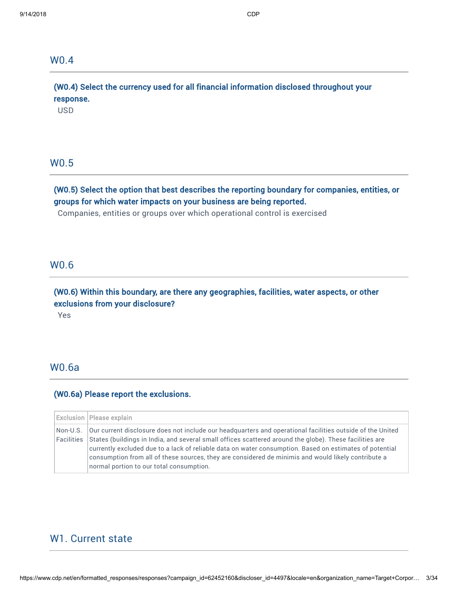## W0.4

(W0.4) Select the currency used for all financial information disclosed throughout your response.

USD

## W0.5

# (W0.5) Select the option that best describes the reporting boundary for companies, entities, or groups for which water impacts on your business are being reported.

Companies, entities or groups over which operational control is exercised

#### W0.6

# (W0.6) Within this boundary, are there any geographies, facilities, water aspects, or other exclusions from your disclosure?

Yes

# W0.6a

# (W0.6a) Please report the exclusions.

| <b>Exclusion   Please explain</b>                                                                                                                                                                                                                                                                                                                                                                                                                                                                                |
|------------------------------------------------------------------------------------------------------------------------------------------------------------------------------------------------------------------------------------------------------------------------------------------------------------------------------------------------------------------------------------------------------------------------------------------------------------------------------------------------------------------|
| $\,$ Non-U.S. $\,$ Our current disclosure does not include our headquarters and operational facilities outside of the United<br>Facilities States (buildings in India, and several small offices scattered around the globe). These facilities are<br>currently excluded due to a lack of reliable data on water consumption. Based on estimates of potential<br>consumption from all of these sources, they are considered de minimis and would likely contribute a<br>normal portion to our total consumption. |

## W1. Current state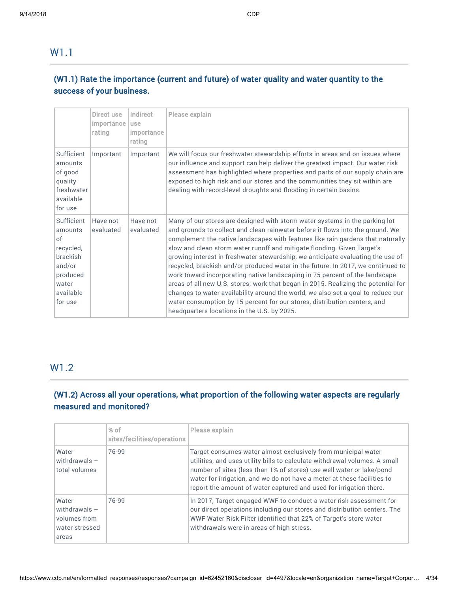W1.1

# (W1.1) Rate the importance (current and future) of water quality and water quantity to the success of your business.

|                                                                                                                    | Direct use<br>importance<br>rating | Indirect<br>use<br>importance<br>rating | Please explain                                                                                                                                                                                                                                                                                                                                                                                                                                                                                                                                                                                                                                                                                                                                                                                                                                                                          |
|--------------------------------------------------------------------------------------------------------------------|------------------------------------|-----------------------------------------|-----------------------------------------------------------------------------------------------------------------------------------------------------------------------------------------------------------------------------------------------------------------------------------------------------------------------------------------------------------------------------------------------------------------------------------------------------------------------------------------------------------------------------------------------------------------------------------------------------------------------------------------------------------------------------------------------------------------------------------------------------------------------------------------------------------------------------------------------------------------------------------------|
| Sufficient<br>amounts<br>of good<br>quality<br>freshwater<br>available<br>for use                                  | Important                          | Important                               | We will focus our freshwater stewardship efforts in areas and on issues where<br>our influence and support can help deliver the greatest impact. Our water risk<br>assessment has highlighted where properties and parts of our supply chain are<br>exposed to high risk and our stores and the communities they sit within are<br>dealing with record-level droughts and flooding in certain basins.                                                                                                                                                                                                                                                                                                                                                                                                                                                                                   |
| Sufficient<br>amounts<br>of<br>recycled,<br><b>brackish</b><br>and/or<br>produced<br>water<br>available<br>for use | Have not<br>evaluated              | Have not<br>evaluated                   | Many of our stores are designed with storm water systems in the parking lot<br>and grounds to collect and clean rainwater before it flows into the ground. We<br>complement the native landscapes with features like rain gardens that naturally<br>slow and clean storm water runoff and mitigate flooding. Given Target's<br>growing interest in freshwater stewardship, we anticipate evaluating the use of<br>recycled, brackish and/or produced water in the future. In 2017, we continued to<br>work toward incorporating native landscaping in 75 percent of the landscape<br>areas of all new U.S. stores; work that began in 2015. Realizing the potential for<br>changes to water availability around the world, we also set a goal to reduce our<br>water consumption by 15 percent for our stores, distribution centers, and<br>headquarters locations in the U.S. by 2025. |

# W1.2

# (W1.2) Across all your operations, what proportion of the following water aspects are regularly measured and monitored?

|                                                                     | $%$ of<br>sites/facilities/operations | Please explain                                                                                                                                                                                                                                                                                                                                                       |
|---------------------------------------------------------------------|---------------------------------------|----------------------------------------------------------------------------------------------------------------------------------------------------------------------------------------------------------------------------------------------------------------------------------------------------------------------------------------------------------------------|
| Water<br>withdrawals $-$<br>total volumes                           | 76-99                                 | Target consumes water almost exclusively from municipal water<br>utilities, and uses utility bills to calculate withdrawal volumes. A small<br>number of sites (less than 1% of stores) use well water or lake/pond<br>water for irrigation, and we do not have a meter at these facilities to<br>report the amount of water captured and used for irrigation there. |
| Water<br>withdrawals $-$<br>volumes from<br>water stressed<br>areas | 76-99                                 | In 2017, Target engaged WWF to conduct a water risk assessment for<br>our direct operations including our stores and distribution centers. The<br>WWF Water Risk Filter identified that 22% of Target's store water<br>withdrawals were in areas of high stress.                                                                                                     |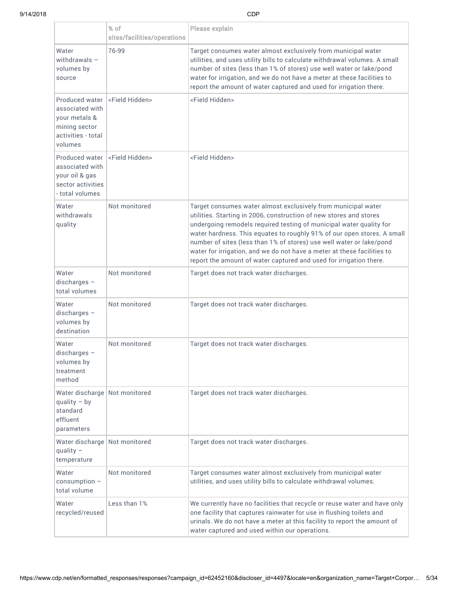|                                                                                                                             | % of<br>sites/facilities/operations | Please explain                                                                                                                                                                                                                                                                                                                                                                                                                                                                                                 |
|-----------------------------------------------------------------------------------------------------------------------------|-------------------------------------|----------------------------------------------------------------------------------------------------------------------------------------------------------------------------------------------------------------------------------------------------------------------------------------------------------------------------------------------------------------------------------------------------------------------------------------------------------------------------------------------------------------|
| Water<br>withdrawals $-$<br>volumes by<br>source                                                                            | 76-99                               | Target consumes water almost exclusively from municipal water<br>utilities, and uses utility bills to calculate withdrawal volumes. A small<br>number of sites (less than 1% of stores) use well water or lake/pond<br>water for irrigation, and we do not have a meter at these facilities to<br>report the amount of water captured and used for irrigation there.                                                                                                                                           |
| Produced water <a>I</a> Field Hidden><br>associated with<br>your metals &<br>mining sector<br>activities - total<br>volumes |                                     | <field hidden=""></field>                                                                                                                                                                                                                                                                                                                                                                                                                                                                                      |
| Produced water<br>associated with<br>your oil & gas<br>sector activities<br>- total volumes                                 | <field hidden=""></field>           | <field hidden=""></field>                                                                                                                                                                                                                                                                                                                                                                                                                                                                                      |
| Water<br>withdrawals<br>quality                                                                                             | Not monitored                       | Target consumes water almost exclusively from municipal water<br>utilities. Starting in 2006, construction of new stores and stores<br>undergoing remodels required testing of municipal water quality for<br>water hardness. This equates to roughly 91% of our open stores. A small<br>number of sites (less than 1% of stores) use well water or lake/pond<br>water for irrigation, and we do not have a meter at these facilities to<br>report the amount of water captured and used for irrigation there. |
| Water<br>$discharges -$<br>total volumes                                                                                    | Not monitored                       | Target does not track water discharges.                                                                                                                                                                                                                                                                                                                                                                                                                                                                        |
| Water<br>$discharges -$<br>volumes by<br>destination                                                                        | Not monitored                       | Target does not track water discharges.                                                                                                                                                                                                                                                                                                                                                                                                                                                                        |
| Water<br>$discharges -$<br>volumes by<br>treatment<br>method                                                                | Not monitored                       | Target does not track water discharges.                                                                                                                                                                                                                                                                                                                                                                                                                                                                        |
| Water discharge Not monitored<br>quality $-$ by<br>standard<br>effluent<br>parameters                                       |                                     | Target does not track water discharges.                                                                                                                                                                                                                                                                                                                                                                                                                                                                        |
| Water discharge   Not monitored<br>quality $-$<br>temperature                                                               |                                     | Target does not track water discharges.                                                                                                                                                                                                                                                                                                                                                                                                                                                                        |
| Water<br>$consumption -$<br>total volume                                                                                    | Not monitored                       | Target consumes water almost exclusively from municipal water<br>utilities, and uses utility bills to calculate withdrawal volumes.                                                                                                                                                                                                                                                                                                                                                                            |
| Water<br>recycled/reused                                                                                                    | Less than 1%                        | We currently have no facilities that recycle or reuse water and have only<br>one facility that captures rainwater for use in flushing toilets and<br>urinals. We do not have a meter at this facility to report the amount of<br>water captured and used within our operations.                                                                                                                                                                                                                                |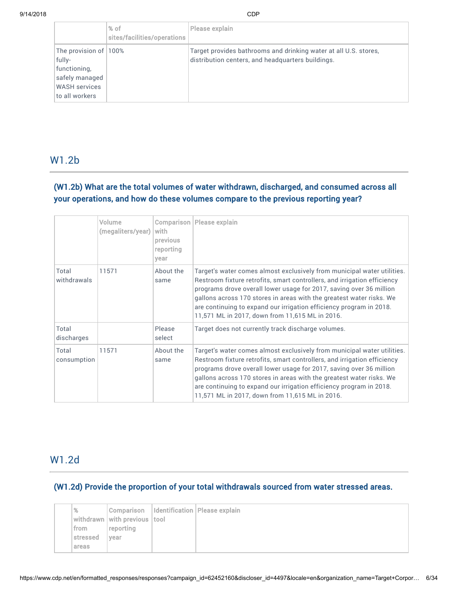|                                                                                                             | $%$ of<br>sites/facilities/operations | Please explain                                                                                                        |
|-------------------------------------------------------------------------------------------------------------|---------------------------------------|-----------------------------------------------------------------------------------------------------------------------|
| The provision of 100%<br>fully-<br>functioning,<br>safely managed<br><b>WASH</b> services<br>to all workers |                                       | Target provides bathrooms and drinking water at all U.S. stores,<br>distribution centers, and headquarters buildings. |

# W1.2b

# (W1.2b) What are the total volumes of water withdrawn, discharged, and consumed across all your operations, and how do these volumes compare to the previous reporting year?

|                      | Volume<br>(megaliters/year) | with<br>previous<br>reporting<br>year | <b>Comparison   Please explain</b>                                                                                                                                                                                                                                                                                                                                                                                           |
|----------------------|-----------------------------|---------------------------------------|------------------------------------------------------------------------------------------------------------------------------------------------------------------------------------------------------------------------------------------------------------------------------------------------------------------------------------------------------------------------------------------------------------------------------|
| Total<br>withdrawals | 11571                       | About the<br>same                     | Target's water comes almost exclusively from municipal water utilities.<br>Restroom fixture retrofits, smart controllers, and irrigation efficiency<br>programs drove overall lower usage for 2017, saving over 36 million<br>gallons across 170 stores in areas with the greatest water risks. We<br>are continuing to expand our irrigation efficiency program in 2018.<br>11,571 ML in 2017, down from 11,615 ML in 2016. |
| Total<br>discharges  |                             | Please<br>select                      | Target does not currently track discharge volumes.                                                                                                                                                                                                                                                                                                                                                                           |
| Total<br>consumption | 11571                       | About the<br>same                     | Target's water comes almost exclusively from municipal water utilities.<br>Restroom fixture retrofits, smart controllers, and irrigation efficiency<br>programs drove overall lower usage for 2017, saving over 36 million<br>gallons across 170 stores in areas with the greatest water risks. We<br>are continuing to expand our irrigation efficiency program in 2018.<br>11,571 ML in 2017, down from 11,615 ML in 2016. |

# W1.2d

# (W1.2d) Provide the proportion of your total withdrawals sourced from water stressed areas.

| %        |                                              | Comparison   Identification   Please explain |
|----------|----------------------------------------------|----------------------------------------------|
|          | $ $ withdrawn $ $ with previous $ $ tool $ $ |                                              |
| from     | reporting                                    |                                              |
| stressed | vear                                         |                                              |
| areas    |                                              |                                              |
|          |                                              |                                              |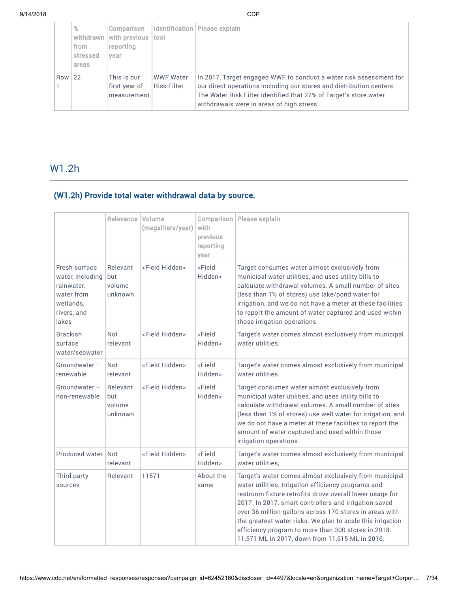|     | %<br>withdrawn<br>from<br>stressed<br>areas | Comparison<br>with previous<br>reporting<br>vear | tool                                   | Identification   Please explain                                                                                                                                                                                                                              |
|-----|---------------------------------------------|--------------------------------------------------|----------------------------------------|--------------------------------------------------------------------------------------------------------------------------------------------------------------------------------------------------------------------------------------------------------------|
| Row | 22                                          | This is our<br>first year of<br>measurement      | <b>WWF Water</b><br><b>Risk Filter</b> | In 2017, Target engaged WWF to conduct a water risk assessment for<br>our direct operations including our stores and distribution centers.<br>The Water Risk Filter identified that 22% of Target's store water<br>withdrawals were in areas of high stress. |

# W1.2h

# (W1.2h) Provide total water withdrawal data by source.

|                                                                                                    | Relevance   Volume                   | (megaliters/year)         | Comparison<br>with<br>previous<br>reporting<br>year | Please explain                                                                                                                                                                                                                                                                                                                                                                                                                                                        |
|----------------------------------------------------------------------------------------------------|--------------------------------------|---------------------------|-----------------------------------------------------|-----------------------------------------------------------------------------------------------------------------------------------------------------------------------------------------------------------------------------------------------------------------------------------------------------------------------------------------------------------------------------------------------------------------------------------------------------------------------|
| Fresh surface<br>water, including<br>rainwater,<br>water from<br>wetlands.<br>rivers, and<br>lakes | Relevant<br>but<br>volume<br>unknown | <field hidden=""></field> | <field<br>Hidden&gt;</field<br>                     | Target consumes water almost exclusively from<br>municipal water utilities, and uses utility bills to<br>calculate withdrawal volumes. A small number of sites<br>(less than 1% of stores) use lake/pond water for<br>irrigation, and we do not have a meter at these facilities<br>to report the amount of water captured and used within<br>those irrigation operations.                                                                                            |
| <b>Brackish</b><br>surface<br>water/seawater                                                       | Not<br>relevant                      | <field hidden=""></field> | <field<br>Hidden&gt;</field<br>                     | Target's water comes almost exclusively from municipal<br>water utilities.                                                                                                                                                                                                                                                                                                                                                                                            |
| Groundwater -<br>renewable                                                                         | <b>Not</b><br>relevant               | <field hidden=""></field> | <field<br>Hidden&gt;</field<br>                     | Target's water comes almost exclusively from municipal<br>water utilities.                                                                                                                                                                                                                                                                                                                                                                                            |
| Groundwater -<br>non-renewable                                                                     | Relevant<br>but<br>volume<br>unknown | <field hidden=""></field> | <field<br>Hidden&gt;</field<br>                     | Target consumes water almost exclusively from<br>municipal water utilities, and uses utility bills to<br>calculate withdrawal volumes. A small number of sites<br>(less than 1% of stores) use well water for irrigation, and<br>we do not have a meter at these facilities to report the<br>amount of water captured and used within those<br>irrigation operations.                                                                                                 |
| Produced water Not                                                                                 | relevant                             | <field hidden=""></field> | <field<br>Hidden&gt;</field<br>                     | Target's water comes almost exclusively from municipal<br>water utilities,                                                                                                                                                                                                                                                                                                                                                                                            |
| Third party<br>sources                                                                             | Relevant                             | 11571                     | About the<br>same                                   | Target's water comes almost exclusively from municipal<br>water utilities. Irrigation efficiency programs and<br>restroom fixture retrofits drove overall lower usage for<br>2017. In 2017, smart controllers and irrigation saved<br>over 36 million gallons across 170 stores in areas with<br>the greatest water risks. We plan to scale this irrigation<br>efficiency program to more than 300 stores in 2018.<br>11,571 ML in 2017, down from 11,615 ML in 2016. |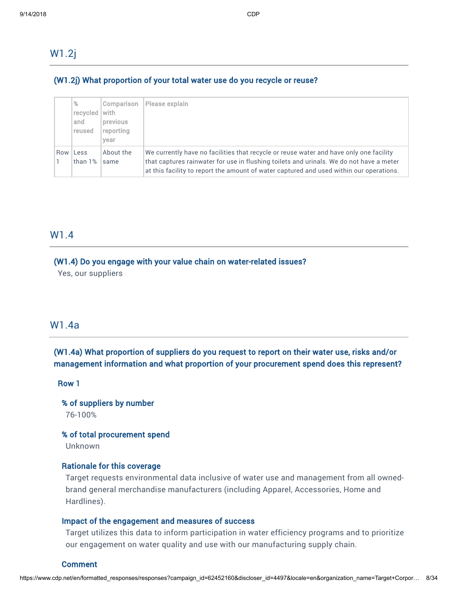W1.2j

## (W1.2j) What proportion of your total water use do you recycle or reuse?

|     | %<br>recycled  <br>and<br>reused | Comparison<br>with<br>previous<br>reporting<br>vear | Please explain                                                                                                                                                                                                                                                               |
|-----|----------------------------------|-----------------------------------------------------|------------------------------------------------------------------------------------------------------------------------------------------------------------------------------------------------------------------------------------------------------------------------------|
| Row | Less<br>than 1%                  | About the<br>same                                   | We currently have no facilities that recycle or reuse water and have only one facility<br>that captures rainwater for use in flushing toilets and urinals. We do not have a meter<br>at this facility to report the amount of water captured and used within our operations. |

# W1.4

#### (W1.4) Do you engage with your value chain on water-related issues?

Yes, our suppliers

## W1.4a

# (W1.4a) What proportion of suppliers do you request to report on their water use, risks and/or management information and what proportion of your procurement spend does this represent?

Row 1

% of suppliers by number 76-100%

% of total procurement spend

Unknown

#### Rationale for this coverage

Target requests environmental data inclusive of water use and management from all ownedbrand general merchandise manufacturers (including Apparel, Accessories, Home and Hardlines).

#### Impact of the engagement and measures of success

Target utilizes this data to inform participation in water efficiency programs and to prioritize our engagement on water quality and use with our manufacturing supply chain.

#### Comment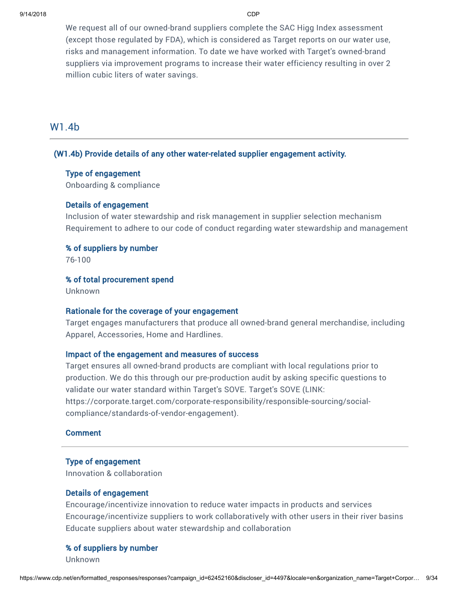We request all of our owned-brand suppliers complete the SAC Higg Index assessment (except those regulated by FDA), which is considered as Target reports on our water use, risks and management information. To date we have worked with Target's owned-brand suppliers via improvement programs to increase their water efficiency resulting in over 2 million cubic liters of water savings.

# W1.4b

#### (W1.4b) Provide details of any other water-related supplier engagement activity.

## Type of engagement

Onboarding & compliance

#### Details of engagement

Inclusion of water stewardship and risk management in supplier selection mechanism Requirement to adhere to our code of conduct regarding water stewardship and management

#### % of suppliers by number

76-100

#### % of total procurement spend

Unknown

## Rationale for the coverage of your engagement

Target engages manufacturers that produce all owned-brand general merchandise, including Apparel, Accessories, Home and Hardlines.

#### Impact of the engagement and measures of success

Target ensures all owned-brand products are compliant with local regulations prior to production. We do this through our pre-production audit by asking specific questions to validate our water standard within Target's SOVE. Target's SOVE (LINK: [https://corporate.target.com/corporate-responsibility/responsible-sourcing/social](https://corporate.target.com/corporate-responsibility/responsible-sourcing/social-compliance/standards-of-vendor-engagement)compliance/standards-of-vendor-engagement).

## **Comment**

#### Type of engagement

Innovation & collaboration

#### Details of engagement

Encourage/incentivize innovation to reduce water impacts in products and services Encourage/incentivize suppliers to work collaboratively with other users in their river basins Educate suppliers about water stewardship and collaboration

## % of suppliers by number

Unknown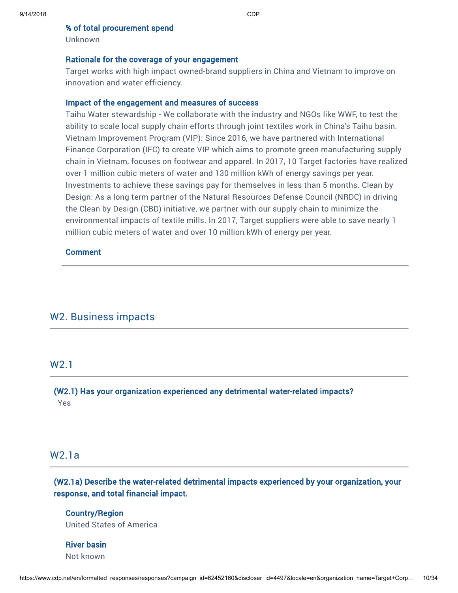#### % of total procurement spend

Unknown

#### Rationale for the coverage of your engagement

Target works with high impact owned-brand suppliers in China and Vietnam to improve on innovation and water efficiency.

#### Impact of the engagement and measures of success

Taihu Water stewardship - We collaborate with the industry and NGOs like WWF, to test the ability to scale local supply chain efforts through joint textiles work in China's Taihu basin. Vietnam Improvement Program (VIP): Since 2016, we have partnered with International Finance Corporation (IFC) to create VIP which aims to promote green manufacturing supply chain in Vietnam, focuses on footwear and apparel. In 2017, 10 Target factories have realized over 1 million cubic meters of water and 130 million kWh of energy savings per year. Investments to achieve these savings pay for themselves in less than 5 months. Clean by Design: As a long term partner of the Natural Resources Defense Council (NRDC) in driving the Clean by Design (CBD) initiative, we partner with our supply chain to minimize the environmental impacts of textile mills. In 2017, Target suppliers were able to save nearly 1 million cubic meters of water and over 10 million kWh of energy per year.

## **Comment**

## W2. Business impacts

## W2.1

(W2.1) Has your organization experienced any detrimental water-related impacts? Yes

## W2.1a

# (W2.1a) Describe the water-related detrimental impacts experienced by your organization, your response, and total financial impact.

Country/Region United States of America

## River basin Not known

https://www.cdp.net/en/formatted\_responses/responses?campaign\_id=62452160&discloser\_id=4497&locale=en&organization\_name=Target+Corp… 10/34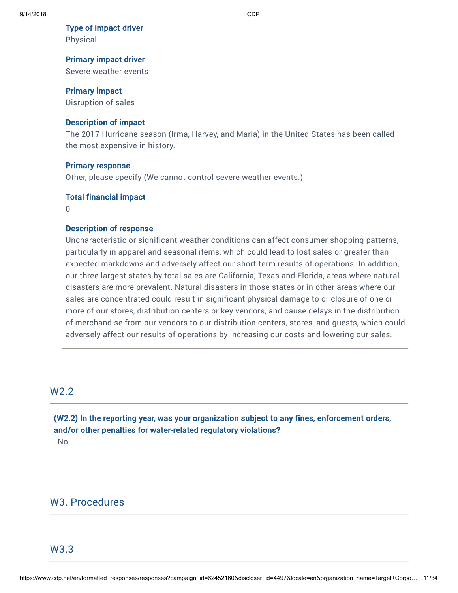#### Type of impact driver

Physical

#### Primary impact driver

Severe weather events

#### Primary impact

Disruption of sales

#### Description of impact

The 2017 Hurricane season (Irma, Harvey, and Maria) in the United States has been called the most expensive in history.

#### Primary response

Other, please specify (We cannot control severe weather events.)

#### Total financial impact

0

#### Description of response

Uncharacteristic or significant weather conditions can affect consumer shopping patterns, particularly in apparel and seasonal items, which could lead to lost sales or greater than expected markdowns and adversely affect our short-term results of operations. In addition, our three largest states by total sales are California, Texas and Florida, areas where natural disasters are more prevalent. Natural disasters in those states or in other areas where our sales are concentrated could result in significant physical damage to or closure of one or more of our stores, distribution centers or key vendors, and cause delays in the distribution of merchandise from our vendors to our distribution centers, stores, and guests, which could adversely affect our results of operations by increasing our costs and lowering our sales.

# W2.2

(W2.2) In the reporting year, was your organization subject to any fines, enforcement orders, and/or other penalties for water-related regulatory violations?

No

# W3. Procedures

## W3.3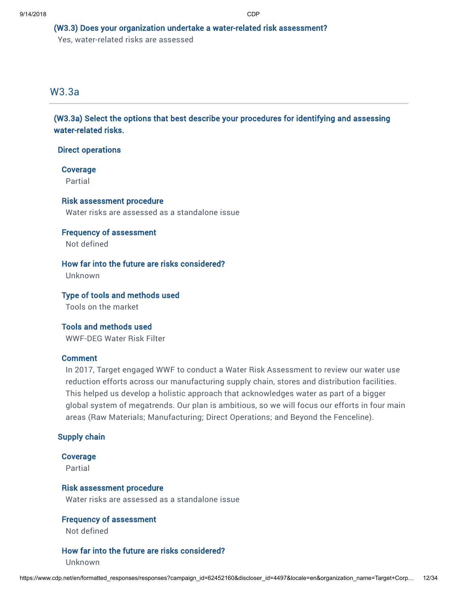## (W3.3) Does your organization undertake a water-related risk assessment?

Yes, water-related risks are assessed

# W3.3a

(W3.3a) Select the options that best describe your procedures for identifying and assessing water-related risks.

## Direct operations

# Coverage

Partial

# Risk assessment procedure

Water risks are assessed as a standalone issue

## Frequency of assessment Not defined

How far into the future are risks considered?

Unknown

## Type of tools and methods used

Tools on the market

Tools and methods used WWF-DEG Water Risk Filter

## Comment

In 2017, Target engaged WWF to conduct a Water Risk Assessment to review our water use reduction efforts across our manufacturing supply chain, stores and distribution facilities. This helped us develop a holistic approach that acknowledges water as part of a bigger global system of megatrends. Our plan is ambitious, so we will focus our efforts in four main areas (Raw Materials; Manufacturing; Direct Operations; and Beyond the Fenceline).

## Supply chain

## Coverage

Partial

## Risk assessment procedure

Water risks are assessed as a standalone issue

## Frequency of assessment

Not defined

## How far into the future are risks considered?

Unknown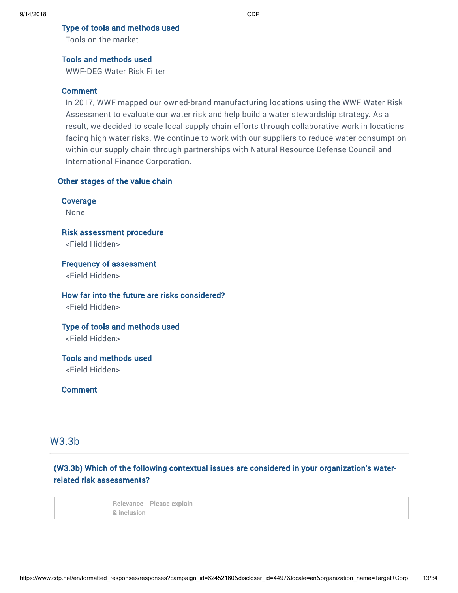Type of tools and methods used

Tools on the market

## Tools and methods used

WWF-DEG Water Risk Filter

#### Comment

In 2017, WWF mapped our owned-brand manufacturing locations using the WWF Water Risk Assessment to evaluate our water risk and help build a water stewardship strategy. As a result, we decided to scale local supply chain efforts through collaborative work in locations facing high water risks. We continue to work with our suppliers to reduce water consumption within our supply chain through partnerships with Natural Resource Defense Council and International Finance Corporation.

## Other stages of the value chain

Coverage None Risk assessment procedure <Field Hidden> Frequency of assessment

<Field Hidden>

## How far into the future are risks considered?

<Field Hidden>

Type of tools and methods used

<Field Hidden>

Tools and methods used <Field Hidden>

Comment

# W3.3b

# (W3.3b) Which of the following contextual issues are considered in your organization's waterrelated risk assessments?

|             | Relevance Please explain |
|-------------|--------------------------|
| 8 inclusion |                          |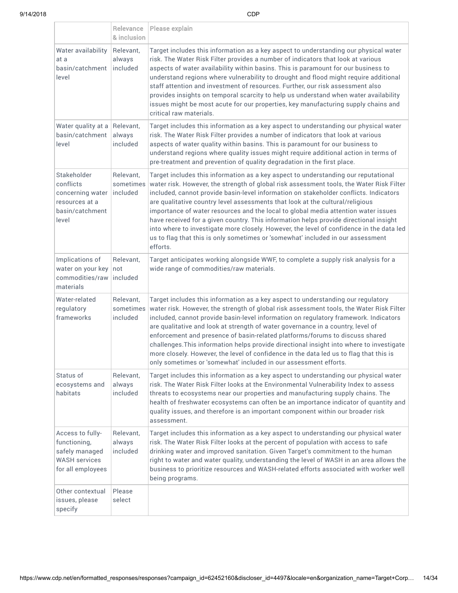|                                                                                                 | Relevance<br>& inclusion           | Please explain                                                                                                                                                                                                                                                                                                                                                                                                                                                                                                                                                                                                                                                                                                                     |
|-------------------------------------------------------------------------------------------------|------------------------------------|------------------------------------------------------------------------------------------------------------------------------------------------------------------------------------------------------------------------------------------------------------------------------------------------------------------------------------------------------------------------------------------------------------------------------------------------------------------------------------------------------------------------------------------------------------------------------------------------------------------------------------------------------------------------------------------------------------------------------------|
| Water availability<br>at a<br>basin/catchment<br>level                                          | Relevant,<br>always<br>included    | Target includes this information as a key aspect to understanding our physical water<br>risk. The Water Risk Filter provides a number of indicators that look at various<br>aspects of water availability within basins. This is paramount for our business to<br>understand regions where vulnerability to drought and flood might require additional<br>staff attention and investment of resources. Further, our risk assessment also<br>provides insights on temporal scarcity to help us understand when water availability<br>issues might be most acute for our properties, key manufacturing supply chains and<br>critical raw materials.                                                                                  |
| Water quality at a<br>basin/catchment<br>level                                                  | Relevant,<br>always<br>included    | Target includes this information as a key aspect to understanding our physical water<br>risk. The Water Risk Filter provides a number of indicators that look at various<br>aspects of water quality within basins. This is paramount for our business to<br>understand regions where quality issues might require additional action in terms of<br>pre-treatment and prevention of quality degradation in the first place.                                                                                                                                                                                                                                                                                                        |
| Stakeholder<br>conflicts<br>concerning water<br>resources at a<br>basin/catchment<br>level      | Relevant,<br>sometimes<br>included | Target includes this information as a key aspect to understanding our reputational<br>water risk. However, the strength of global risk assessment tools, the Water Risk Filter<br>included, cannot provide basin-level information on stakeholder conflicts. Indicators<br>are qualitative country level assessments that look at the cultural/religious<br>importance of water resources and the local to global media attention water issues<br>have received for a given country. This information helps provide directional insight<br>into where to investigate more closely. However, the level of confidence in the data led<br>us to flag that this is only sometimes or 'somewhat' included in our assessment<br>efforts. |
| Implications of<br>water on your key<br>commodities/raw<br>materials                            | Relevant,<br>not<br>included       | Target anticipates working alongside WWF, to complete a supply risk analysis for a<br>wide range of commodities/raw materials.                                                                                                                                                                                                                                                                                                                                                                                                                                                                                                                                                                                                     |
| Water-related<br>regulatory<br>frameworks                                                       | Relevant,<br>sometimes<br>included | Target includes this information as a key aspect to understanding our regulatory<br>water risk. However, the strength of global risk assessment tools, the Water Risk Filter<br>included, cannot provide basin-level information on regulatory framework. Indicators<br>are qualitative and look at strength of water governance in a country, level of<br>enforcement and presence of basin-related platforms/forums to discuss shared<br>challenges. This information helps provide directional insight into where to investigate<br>more closely. However, the level of confidence in the data led us to flag that this is<br>only sometimes or 'somewhat' included in our assessment efforts.                                  |
| Status of<br>ecosystems and<br>habitats                                                         | Relevant,<br>always<br>included    | Target includes this information as a key aspect to understanding our physical water<br>risk. The Water Risk Filter looks at the Environmental Vulnerability Index to assess<br>threats to ecosystems near our properties and manufacturing supply chains. The<br>health of freshwater ecosystems can often be an importance indicator of quantity and<br>quality issues, and therefore is an important component within our broader risk<br>assessment.                                                                                                                                                                                                                                                                           |
| Access to fully-<br>functioning,<br>safely managed<br><b>WASH services</b><br>for all employees | Relevant,<br>always<br>included    | Target includes this information as a key aspect to understanding our physical water<br>risk. The Water Risk Filter looks at the percent of population with access to safe<br>drinking water and improved sanitation. Given Target's commitment to the human<br>right to water and water quality, understanding the level of WASH in an area allows the<br>business to prioritize resources and WASH-related efforts associated with worker well<br>being programs.                                                                                                                                                                                                                                                                |
| Other contextual<br>issues, please<br>specify                                                   | Please<br>select                   |                                                                                                                                                                                                                                                                                                                                                                                                                                                                                                                                                                                                                                                                                                                                    |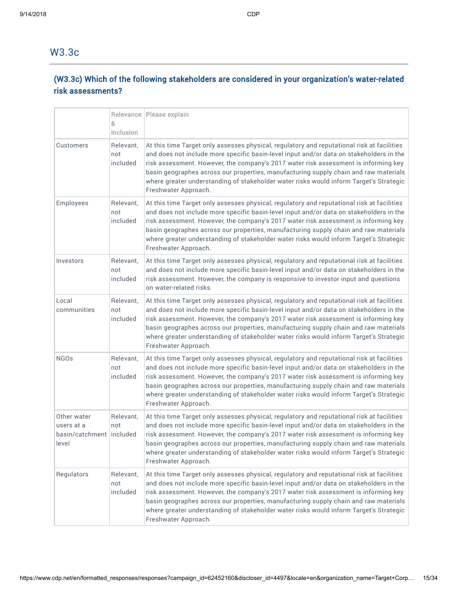# W3.3c

# (W3.3c) Which of the following stakeholders are considered in your organization's water-related risk assessments?

|                                                                  | 8,<br>inclusion              | Relevance   Please explain                                                                                                                                                                                                                                                                                                                                                                                                                                                             |
|------------------------------------------------------------------|------------------------------|----------------------------------------------------------------------------------------------------------------------------------------------------------------------------------------------------------------------------------------------------------------------------------------------------------------------------------------------------------------------------------------------------------------------------------------------------------------------------------------|
| Customers                                                        | Relevant,<br>not<br>included | At this time Target only assesses physical, regulatory and reputational risk at facilities<br>and does not include more specific basin-level input and/or data on stakeholders in the<br>risk assessment. However, the company's 2017 water risk assessment is informing key<br>basin geographes across our properties, manufacturing supply chain and raw materials<br>where greater understanding of stakeholder water risks would inform Target's Strategic<br>Freshwater Approach. |
| Employees                                                        | Relevant,<br>not<br>included | At this time Target only assesses physical, regulatory and reputational risk at facilities<br>and does not include more specific basin-level input and/or data on stakeholders in the<br>risk assessment. However, the company's 2017 water risk assessment is informing key<br>basin geographes across our properties, manufacturing supply chain and raw materials<br>where greater understanding of stakeholder water risks would inform Target's Strategic<br>Freshwater Approach. |
| Investors                                                        | Relevant,<br>not<br>included | At this time Target only assesses physical, regulatory and reputational risk at facilities<br>and does not include more specific basin-level input and/or data on stakeholders in the<br>risk assessment. However, the company is responsive to investor input and questions<br>on water-related risks.                                                                                                                                                                                |
| Local<br>communities                                             | Relevant,<br>not<br>included | At this time Target only assesses physical, regulatory and reputational risk at facilities<br>and does not include more specific basin-level input and/or data on stakeholders in the<br>risk assessment. However, the company's 2017 water risk assessment is informing key<br>basin geographes across our properties, manufacturing supply chain and raw materials<br>where greater understanding of stakeholder water risks would inform Target's Strategic<br>Freshwater Approach. |
| <b>NGOs</b>                                                      | Relevant,<br>not<br>included | At this time Target only assesses physical, regulatory and reputational risk at facilities<br>and does not include more specific basin-level input and/or data on stakeholders in the<br>risk assessment. However, the company's 2017 water risk assessment is informing key<br>basin geographes across our properties, manufacturing supply chain and raw materials<br>where greater understanding of stakeholder water risks would inform Target's Strategic<br>Freshwater Approach. |
| Other water<br>users at a<br>basin/catchment   included<br>level | Relevant,<br>not             | At this time Target only assesses physical, regulatory and reputational risk at facilities<br>and does not include more specific basin-level input and/or data on stakeholders in the<br>risk assessment. However, the company's 2017 water risk assessment is informing key<br>basin geographes across our properties, manufacturing supply chain and raw materials<br>where greater understanding of stakeholder water risks would inform Target's Strategic<br>Freshwater Approach. |
| Regulators                                                       | Relevant,<br>not<br>included | At this time Target only assesses physical, regulatory and reputational risk at facilities<br>and does not include more specific basin-level input and/or data on stakeholders in the<br>risk assessment. However, the company's 2017 water risk assessment is informing key<br>basin geographes across our properties, manufacturing supply chain and raw materials<br>where greater understanding of stakeholder water risks would inform Target's Strategic<br>Freshwater Approach. |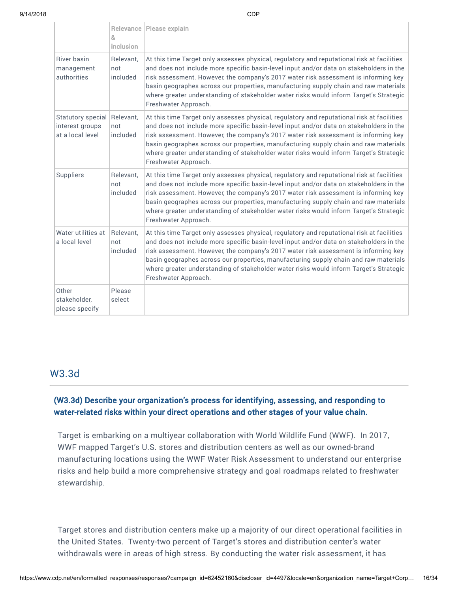|                                                          | 8<br>inclusion               | Relevance   Please explain                                                                                                                                                                                                                                                                                                                                                                                                                                                             |
|----------------------------------------------------------|------------------------------|----------------------------------------------------------------------------------------------------------------------------------------------------------------------------------------------------------------------------------------------------------------------------------------------------------------------------------------------------------------------------------------------------------------------------------------------------------------------------------------|
| <b>River basin</b><br>management<br>authorities          | Relevant.<br>not<br>included | At this time Target only assesses physical, regulatory and reputational risk at facilities<br>and does not include more specific basin-level input and/or data on stakeholders in the<br>risk assessment. However, the company's 2017 water risk assessment is informing key<br>basin geographes across our properties, manufacturing supply chain and raw materials<br>where greater understanding of stakeholder water risks would inform Target's Strategic<br>Freshwater Approach. |
| Statutory special<br>interest groups<br>at a local level | Relevant,<br>not<br>included | At this time Target only assesses physical, regulatory and reputational risk at facilities<br>and does not include more specific basin-level input and/or data on stakeholders in the<br>risk assessment. However, the company's 2017 water risk assessment is informing key<br>basin geographes across our properties, manufacturing supply chain and raw materials<br>where greater understanding of stakeholder water risks would inform Target's Strategic<br>Freshwater Approach. |
| Suppliers                                                | Relevant,<br>not<br>included | At this time Target only assesses physical, regulatory and reputational risk at facilities<br>and does not include more specific basin-level input and/or data on stakeholders in the<br>risk assessment. However, the company's 2017 water risk assessment is informing key<br>basin geographes across our properties, manufacturing supply chain and raw materials<br>where greater understanding of stakeholder water risks would inform Target's Strategic<br>Freshwater Approach. |
| Water utilities at<br>a local level                      | Relevant,<br>not<br>included | At this time Target only assesses physical, regulatory and reputational risk at facilities<br>and does not include more specific basin-level input and/or data on stakeholders in the<br>risk assessment. However, the company's 2017 water risk assessment is informing key<br>basin geographes across our properties, manufacturing supply chain and raw materials<br>where greater understanding of stakeholder water risks would inform Target's Strategic<br>Freshwater Approach. |
| Other<br>stakeholder,<br>please specify                  | Please<br>select             |                                                                                                                                                                                                                                                                                                                                                                                                                                                                                        |

# W3.3d

# (W3.3d) Describe your organization's process for identifying, assessing, and responding to water-related risks within your direct operations and other stages of your value chain.

Target is embarking on a multiyear collaboration with World Wildlife Fund (WWF). In 2017, WWF mapped Target's U.S. stores and distribution centers as well as our owned-brand manufacturing locations using the WWF Water Risk Assessment to understand our enterprise risks and help build a more comprehensive strategy and goal roadmaps related to freshwater stewardship.

Target stores and distribution centers make up a majority of our direct operational facilities in the United States. Twenty-two percent of Target's stores and distribution center's water withdrawals were in areas of high stress. By conducting the water risk assessment, it has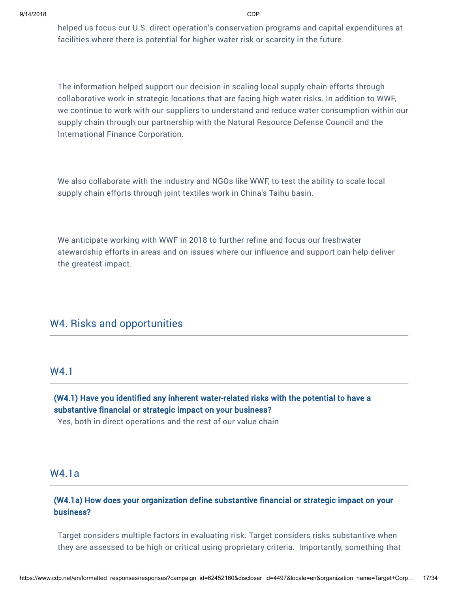helped us focus our U.S. direct operation's conservation programs and capital expenditures at facilities where there is potential for higher water risk or scarcity in the future.

The information helped support our decision in scaling local supply chain efforts through collaborative work in strategic locations that are facing high water risks. In addition to WWF, we continue to work with our suppliers to understand and reduce water consumption within our supply chain through our partnership with the Natural Resource Defense Council and the International Finance Corporation.

We also collaborate with the industry and NGOs like WWF, to test the ability to scale local supply chain efforts through joint textiles work in China's Taihu basin.

We anticipate working with WWF in 2018 to further refine and focus our freshwater stewardship efforts in areas and on issues where our influence and support can help deliver the greatest impact.

# W4. Risks and opportunities

## W4.1

## (W4.1) Have you identified any inherent water-related risks with the potential to have a substantive financial or strategic impact on your business?

Yes, both in direct operations and the rest of our value chain

## W4.1a

## (W4.1a) How does your organization define substantive financial or strategic impact on your business?

Target considers multiple factors in evaluating risk. Target considers risks substantive when they are assessed to be high or critical using proprietary criteria. Importantly, something that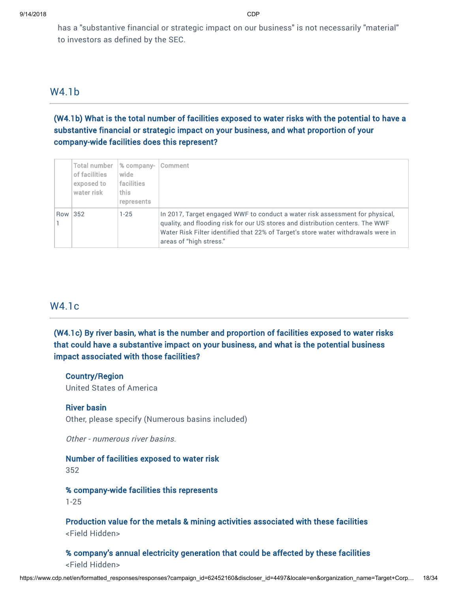has a "substantive financial or strategic impact on our business" is not necessarily "material" to investors as defined by the SEC.

## W4.1b

(W4.1b) What is the total number of facilities exposed to water risks with the potential to have a substantive financial or strategic impact on your business, and what proportion of your company-wide facilities does this represent?

|         | Total number<br>of facilities<br>exposed to<br>water risk | % company-<br>wide<br>facilities<br>this<br>represents | <b>Comment</b>                                                                                                                                                                                                                                                                 |
|---------|-----------------------------------------------------------|--------------------------------------------------------|--------------------------------------------------------------------------------------------------------------------------------------------------------------------------------------------------------------------------------------------------------------------------------|
| Row 352 |                                                           | $1 - 25$                                               | In 2017, Target engaged WWF to conduct a water risk assessment for physical,<br>quality, and flooding risk for our US stores and distribution centers. The WWF<br>Water Risk Filter identified that 22% of Target's store water withdrawals were in<br>areas of "high stress." |

# W4.1c

(W4.1c) By river basin, what is the number and proportion of facilities exposed to water risks that could have a substantive impact on your business, and what is the potential business impact associated with those facilities?

#### Country/Region

United States of America

#### River basin

Other, please specify (Numerous basins included)

Other - numerous river basins.

# Number of facilities exposed to water risk

352

% company-wide facilities this represents 1-25

Production value for the metals & mining activities associated with these facilities <Field Hidden>

## % company's annual electricity generation that could be affected by these facilities <Field Hidden>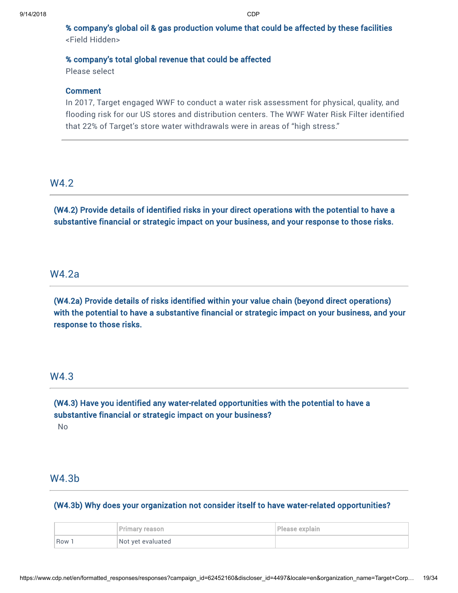% company's global oil & gas production volume that could be affected by these facilities <Field Hidden>

#### % company's total global revenue that could be affected

Please select

#### **Comment**

In 2017, Target engaged WWF to conduct a water risk assessment for physical, quality, and flooding risk for our US stores and distribution centers. The WWF Water Risk Filter identified that 22% of Target's store water withdrawals were in areas of "high stress."

## W4.2

(W4.2) Provide details of identified risks in your direct operations with the potential to have a substantive financial or strategic impact on your business, and your response to those risks.

# W4.2a

(W4.2a) Provide details of risks identified within your value chain (beyond direct operations) with the potential to have a substantive financial or strategic impact on your business, and your response to those risks.

## W4.3

(W4.3) Have you identified any water-related opportunities with the potential to have a substantive financial or strategic impact on your business?

## No

# W4.3b

(W4.3b) Why does your organization not consider itself to have water-related opportunities?

|       | Primary reason    | Please explain |
|-------|-------------------|----------------|
| Row 1 | Not yet evaluated |                |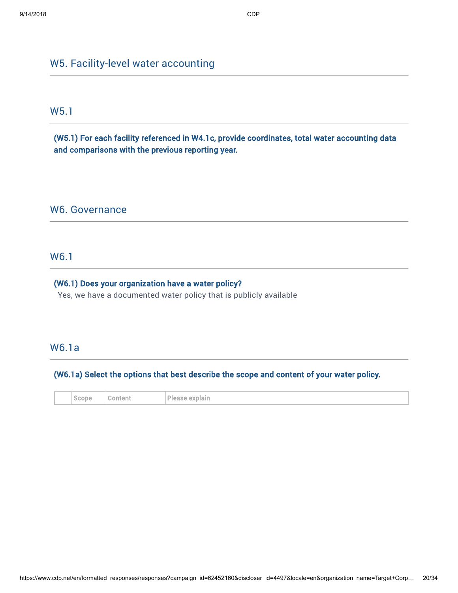# W5. Facility-level water accounting

# W5.1

(W5.1) For each facility referenced in W4.1c, provide coordinates, total water accounting data and comparisons with the previous reporting year.

## W6. Governance

# W6.1

## (W6.1) Does your organization have a water policy?

Yes, we have a documented water policy that is publicly available

# W6.1a

## (W6.1a) Select the options that best describe the scope and content of your water policy.

|  | Scope<br>the contract of the con- | onteni<br>a Ti | plain<br>Please<br>exr<br>the control of the con- |
|--|-----------------------------------|----------------|---------------------------------------------------|
|--|-----------------------------------|----------------|---------------------------------------------------|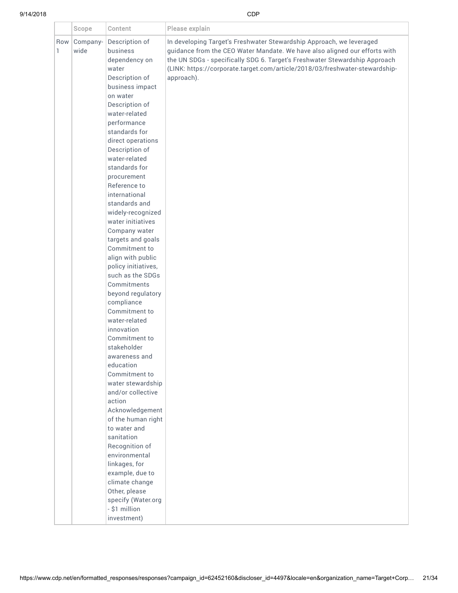|          | Scope            | Content                                                                                                                                                                                                                                                                                                                                                                                                                                                                                                                                                                                                                                                                                                                                                                                                                                                                                                                                                         | Please explain                                                                                                                                                                                                                                                                                                                |
|----------|------------------|-----------------------------------------------------------------------------------------------------------------------------------------------------------------------------------------------------------------------------------------------------------------------------------------------------------------------------------------------------------------------------------------------------------------------------------------------------------------------------------------------------------------------------------------------------------------------------------------------------------------------------------------------------------------------------------------------------------------------------------------------------------------------------------------------------------------------------------------------------------------------------------------------------------------------------------------------------------------|-------------------------------------------------------------------------------------------------------------------------------------------------------------------------------------------------------------------------------------------------------------------------------------------------------------------------------|
| Row<br>1 | Company-<br>wide | Description of<br>business<br>dependency on<br>water<br>Description of<br>business impact<br>on water<br>Description of<br>water-related<br>performance<br>standards for<br>direct operations<br>Description of<br>water-related<br>standards for<br>procurement<br>Reference to<br>international<br>standards and<br>widely-recognized<br>water initiatives<br>Company water<br>targets and goals<br>Commitment to<br>align with public<br>policy initiatives,<br>such as the SDGs<br>Commitments<br>beyond regulatory<br>compliance<br>Commitment to<br>water-related<br>innovation<br>Commitment to<br>stakeholder<br>awareness and<br>education<br>Commitment to<br>water stewardship<br>and/or collective<br>action<br>Acknowledgement<br>of the human right<br>to water and<br>sanitation<br>Recognition of<br>environmental<br>linkages, for<br>example, due to<br>climate change<br>Other, please<br>specify (Water.org<br>- \$1 million<br>investment) | In developing Target's Freshwater Stewardship Approach, we leveraged<br>guidance from the CEO Water Mandate. We have also aligned our efforts with<br>the UN SDGs - specifically SDG 6. Target's Freshwater Stewardship Approach<br>(LINK: https://corporate.target.com/article/2018/03/freshwater-stewardship-<br>approach). |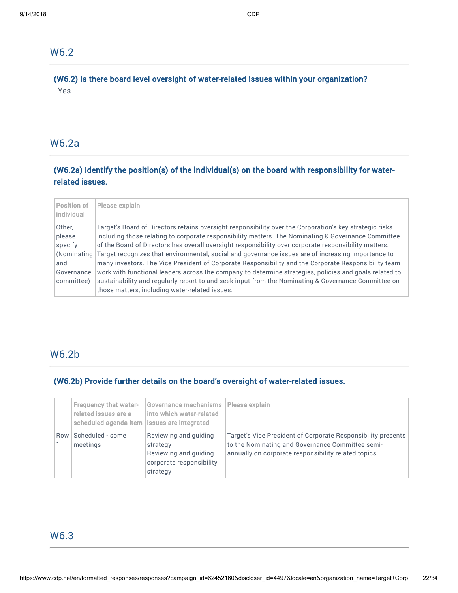# W6.2

# (W6.2) Is there board level oversight of water-related issues within your organization? Yes

# W6.2a

# (W6.2a) Identify the position(s) of the individual(s) on the board with responsibility for waterrelated issues.

| Position of<br><i>individual</i>                                             | Please explain                                                                                                                                                                                                                                                                                                                                                                                                                                                                                                                                                                                                                                                                                                                                                                                           |
|------------------------------------------------------------------------------|----------------------------------------------------------------------------------------------------------------------------------------------------------------------------------------------------------------------------------------------------------------------------------------------------------------------------------------------------------------------------------------------------------------------------------------------------------------------------------------------------------------------------------------------------------------------------------------------------------------------------------------------------------------------------------------------------------------------------------------------------------------------------------------------------------|
| Other,<br>please<br>specify<br>Kominating<br>and<br>Governance<br>committee) | Target's Board of Directors retains oversight responsibility over the Corporation's key strategic risks<br>including those relating to corporate responsibility matters. The Nominating & Governance Committee<br>of the Board of Directors has overall oversight responsibility over corporate responsibility matters.<br>Target recognizes that environmental, social and governance issues are of increasing importance to<br>many investors. The Vice President of Corporate Responsibility and the Corporate Responsibility team<br>work with functional leaders across the company to determine strategies, policies and goals related to<br>sustainability and regularly report to and seek input from the Nominating & Governance Committee on<br>those matters, including water-related issues. |

# W6.2b

# (W6.2b) Provide further details on the board's oversight of water-related issues.

|     | <b>Frequency that water-</b><br>related issues are a<br>scheduled agenda item   issues are integrated | Governance mechanisms   Please explain<br>into which water-related                                 |                                                                                                                                                                          |
|-----|-------------------------------------------------------------------------------------------------------|----------------------------------------------------------------------------------------------------|--------------------------------------------------------------------------------------------------------------------------------------------------------------------------|
| Row | Scheduled - some<br>meetings                                                                          | Reviewing and quiding<br>strategy<br>Reviewing and quiding<br>corporate responsibility<br>strategy | Target's Vice President of Corporate Responsibility presents<br>to the Nominating and Governance Committee semi-<br>annually on corporate responsibility related topics. |

# W6.3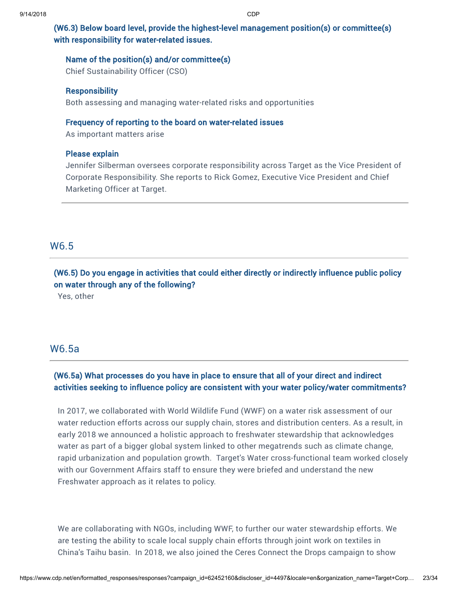# (W6.3) Below board level, provide the highest-level management position(s) or committee(s) with responsibility for water-related issues.

## Name of the position(s) and/or committee(s)

Chief Sustainability Officer (CSO)

#### **Responsibility**

Both assessing and managing water-related risks and opportunities

## Frequency of reporting to the board on water-related issues

As important matters arise

## Please explain

Jennifer Silberman oversees corporate responsibility across Target as the Vice President of Corporate Responsibility. She reports to Rick Gomez, Executive Vice President and Chief Marketing Officer at Target.

# W6.5

# (W6.5) Do you engage in activities that could either directly or indirectly influence public policy on water through any of the following?

Yes, other

# W6.5a

# (W6.5a) What processes do you have in place to ensure that all of your direct and indirect activities seeking to influence policy are consistent with your water policy/water commitments?

In 2017, we collaborated with World Wildlife Fund (WWF) on a water risk assessment of our water reduction efforts across our supply chain, stores and distribution centers. As a result, in early 2018 we announced a holistic approach to freshwater stewardship that acknowledges water as part of a bigger global system linked to other megatrends such as climate change, rapid urbanization and population growth. Target's Water cross-functional team worked closely with our Government Affairs staff to ensure they were briefed and understand the new Freshwater approach as it relates to policy.

We are collaborating with NGOs, including WWF, to further our water stewardship efforts. We are testing the ability to scale local supply chain efforts through joint work on textiles in China's Taihu basin. In 2018, we also joined the Ceres Connect the Drops campaign to show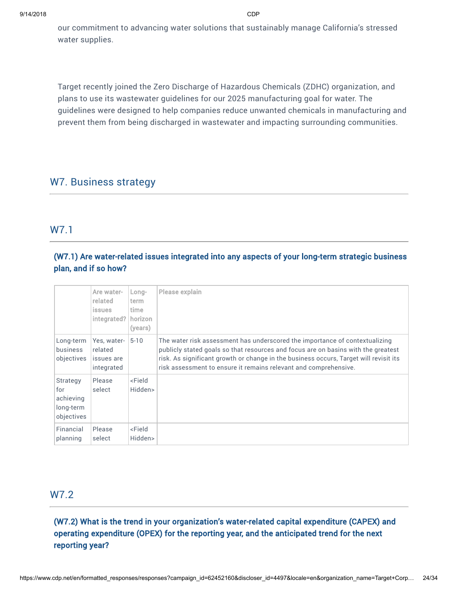our commitment to advancing water solutions that sustainably manage California's stressed water supplies.

Target recently joined the Zero Discharge of Hazardous Chemicals (ZDHC) organization, and plans to use its wastewater guidelines for our 2025 manufacturing goal for water. The guidelines were designed to help companies reduce unwanted chemicals in manufacturing and prevent them from being discharged in wastewater and impacting surrounding communities.

# W7. Business strategy

# W7.1

# (W7.1) Are water-related issues integrated into any aspects of your long-term strategic business plan, and if so how?

|                                                         | Are water-<br>related<br><i>issues</i><br>integrated? | Long-<br>term<br>time.<br>horizon<br>(years) | Please explain                                                                                                                                                                                                                                                                                                                |
|---------------------------------------------------------|-------------------------------------------------------|----------------------------------------------|-------------------------------------------------------------------------------------------------------------------------------------------------------------------------------------------------------------------------------------------------------------------------------------------------------------------------------|
| Long-term<br><b>business</b><br>objectives              | Yes, water-<br>related<br>issues are<br>integrated    | $5 - 10$                                     | The water risk assessment has underscored the importance of contextualizing<br>publicly stated goals so that resources and focus are on basins with the greatest<br>risk. As significant growth or change in the business occurs, Target will revisit its<br>risk assessment to ensure it remains relevant and comprehensive. |
| Strategy<br>for<br>achieving<br>long-term<br>objectives | Please<br>select                                      | <field<br>Hidden&gt;</field<br>              |                                                                                                                                                                                                                                                                                                                               |
| Financial<br>planning                                   | Please<br>select                                      | <field<br>Hidden&gt;</field<br>              |                                                                                                                                                                                                                                                                                                                               |

# W7.2

(W7.2) What is the trend in your organization's water-related capital expenditure (CAPEX) and operating expenditure (OPEX) for the reporting year, and the anticipated trend for the next reporting year?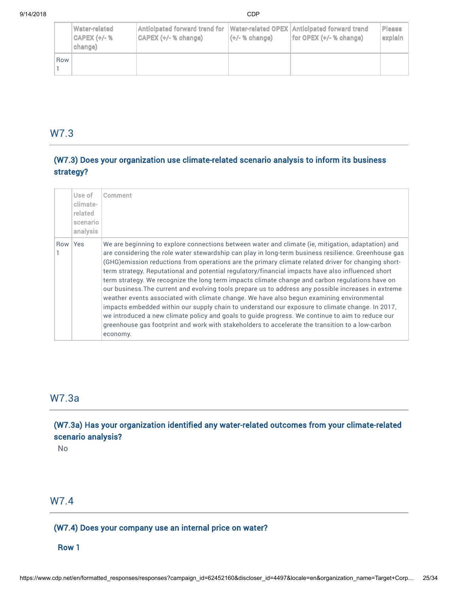|     | Water-related<br><b>CAPEX (+/-%</b><br>change) | Anticipated forward trend for   Water-related OPEX   Anticipated forward trend<br>CAPEX (+/- % change) | $(t/- % change)$ | for OPEX $(+/- $ % change) | <b>Please</b><br>explain |
|-----|------------------------------------------------|--------------------------------------------------------------------------------------------------------|------------------|----------------------------|--------------------------|
| Row |                                                |                                                                                                        |                  |                            |                          |

# W7.3

# (W7.3) Does your organization use climate-related scenario analysis to inform its business strategy?

|         | Use of<br>climate-<br>related<br>scenario<br>analysis | Comment                                                                                                                                                                                                                                                                                                                                                                                                                                                                                                                                                                                                                                                                                                                                                                                                                                                                                                                                                                                                                                                |
|---------|-------------------------------------------------------|--------------------------------------------------------------------------------------------------------------------------------------------------------------------------------------------------------------------------------------------------------------------------------------------------------------------------------------------------------------------------------------------------------------------------------------------------------------------------------------------------------------------------------------------------------------------------------------------------------------------------------------------------------------------------------------------------------------------------------------------------------------------------------------------------------------------------------------------------------------------------------------------------------------------------------------------------------------------------------------------------------------------------------------------------------|
| Row Yes |                                                       | We are beginning to explore connections between water and climate (ie, mitigation, adaptation) and<br>are considering the role water stewardship can play in long-term business resilience. Greenhouse gas<br>(GHG) emission reductions from operations are the primary climate related driver for changing short-<br>term strategy. Reputational and potential regulatory/financial impacts have also influenced short<br>term strategy. We recognize the long term impacts climate change and carbon regulations have on<br>our business. The current and evolving tools prepare us to address any possible increases in extreme<br>weather events associated with climate change. We have also begun examining environmental<br>impacts embedded within our supply chain to understand our exposure to climate change. In 2017,<br>we introduced a new climate policy and goals to guide progress. We continue to aim to reduce our<br>greenhouse gas footprint and work with stakeholders to accelerate the transition to a low-carbon<br>economy. |

# W7.3a

(W7.3a) Has your organization identified any water-related outcomes from your climate-related scenario analysis?

No

# W7.4

## (W7.4) Does your company use an internal price on water?

#### Row 1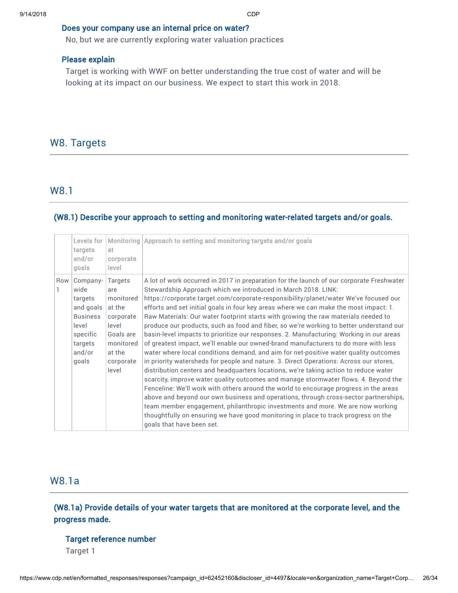#### Does your company use an internal price on water?

No, but we are currently exploring water valuation practices

#### Please explain

Target is working with WWF on better understanding the true cost of water and will be looking at its impact on our business. We expect to start this work in 2018.

# W8. Targets

## W8.1

#### (W8.1) Describe your approach to setting and monitoring water-related targets and/or goals.

|     | Levels for<br>targets<br>and/or<br>goals                                                                       | <b>Monitoring</b><br>at.<br>corporate<br>level                                                                               | Approach to setting and monitoring targets and/or goals                                                                                                                                                                                                                                                                                                                                                                                                                                                                                                                                                                                                                                                                                                                                                                                                                                                                                                                                                                                                                                                                                                                                                                                                                                                                                                                                                                                                              |
|-----|----------------------------------------------------------------------------------------------------------------|------------------------------------------------------------------------------------------------------------------------------|----------------------------------------------------------------------------------------------------------------------------------------------------------------------------------------------------------------------------------------------------------------------------------------------------------------------------------------------------------------------------------------------------------------------------------------------------------------------------------------------------------------------------------------------------------------------------------------------------------------------------------------------------------------------------------------------------------------------------------------------------------------------------------------------------------------------------------------------------------------------------------------------------------------------------------------------------------------------------------------------------------------------------------------------------------------------------------------------------------------------------------------------------------------------------------------------------------------------------------------------------------------------------------------------------------------------------------------------------------------------------------------------------------------------------------------------------------------------|
| Row | Company-<br>wide<br>targets<br>and goals<br><b>Business</b><br>level<br>specific<br>targets<br>and/or<br>qoals | <b>Targets</b><br>are<br>monitored<br>at the<br>corporate<br>level<br>Goals are<br>monitored<br>at the<br>corporate<br>level | A lot of work occurred in 2017 in preparation for the launch of our corporate Freshwater<br>Stewardship Approach which we introduced in March 2018. LINK:<br>https://corporate.target.com/corporate-responsibility/planet/water We've focused our<br>efforts and set initial goals in four key areas where we can make the most impact: 1.<br>Raw Materials: Our water footprint starts with growing the raw materials needed to<br>produce our products, such as food and fiber, so we're working to better understand our<br>basin-level impacts to prioritize our responses. 2. Manufacturing: Working in our areas<br>of greatest impact, we'll enable our owned-brand manufacturers to do more with less<br>water where local conditions demand, and aim for net-positive water quality outcomes<br>in priority watersheds for people and nature. 3. Direct Operations: Across our stores,<br>distribution centers and headquarters locations, we're taking action to reduce water<br>scarcity, improve water quality outcomes and manage stormwater flows. 4. Beyond the<br>Fenceline: We'll work with others around the world to encourage progress in the areas<br>above and beyond our own business and operations, through cross-sector partnerships,<br>team member engagement, philanthropic investments and more. We are now working<br>thoughtfully on ensuring we have good monitoring in place to track progress on the<br>goals that have been set. |

# W8.1a

(W8.1a) Provide details of your water targets that are monitored at the corporate level, and the progress made.

#### Target reference number

Target 1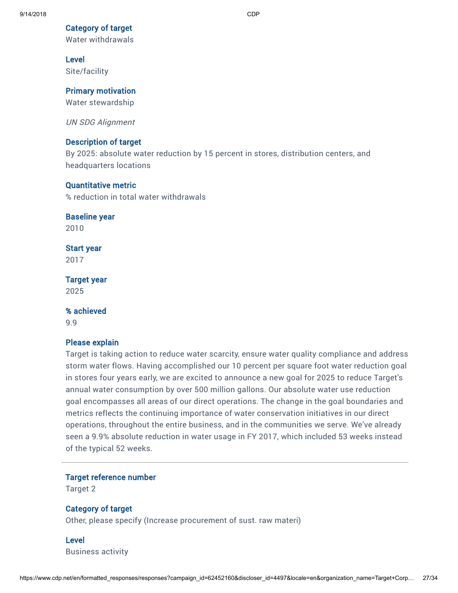#### Category of target

Water withdrawals

#### Level

Site/facility

#### Primary motivation

Water stewardship

UN SDG Alignment

#### Description of target

By 2025: absolute water reduction by 15 percent in stores, distribution centers, and headquarters locations

#### Quantitative metric

% reduction in total water withdrawals

#### Baseline year

2010

## Start year

2017

#### Target year

2025

#### % achieved

9.9

## Please explain

Target is taking action to reduce water scarcity, ensure water quality compliance and address storm water flows. Having accomplished our 10 percent per square foot water reduction goal in stores four years early, we are excited to announce a new goal for 2025 to reduce Target's annual water consumption by over 500 million gallons. Our absolute water use reduction goal encompasses all areas of our direct operations. The change in the goal boundaries and metrics reflects the continuing importance of water conservation initiatives in our direct operations, throughout the entire business, and in the communities we serve. We've already seen a 9.9% absolute reduction in water usage in FY 2017, which included 53 weeks instead of the typical 52 weeks.

#### Target reference number

Target 2

#### Category of target

Other, please specify (Increase procurement of sust. raw materi)

Level Business activity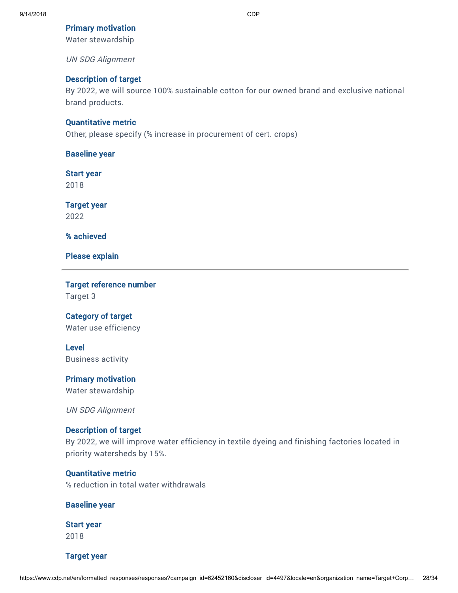#### Primary motivation

Water stewardship

UN SDG Alignment

#### Description of target

By 2022, we will source 100% sustainable cotton for our owned brand and exclusive national brand products.

#### Quantitative metric

Other, please specify (% increase in procurement of cert. crops)

Baseline year

Start year

2018

Target year 2022

% achieved

Please explain

Target reference number

Target 3

## Category of target

Water use efficiency

Level Business activity

#### Primary motivation

Water stewardship

UN SDG Alignment

#### Description of target

By 2022, we will improve water efficiency in textile dyeing and finishing factories located in priority watersheds by 15%.

#### Quantitative metric

% reduction in total water withdrawals

#### Baseline year

Start year

2018

Target year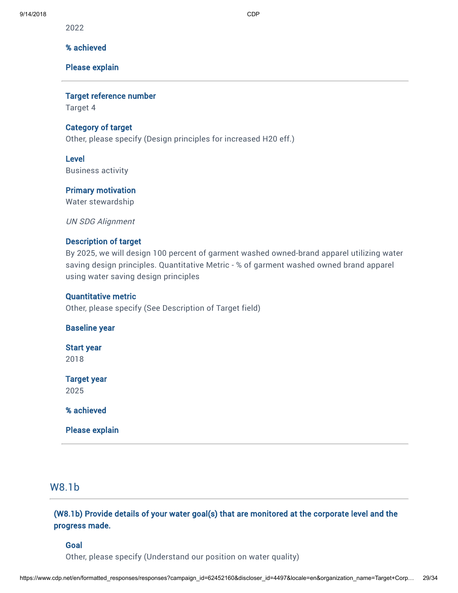2022

#### % achieved

#### Please explain

Target reference number

Target 4

#### Category of target

Other, please specify (Design principles for increased H20 eff.)

#### Level

Business activity

#### Primary motivation

Water stewardship

UN SDG Alignment

#### Description of target

By 2025, we will design 100 percent of garment washed owned-brand apparel utilizing water saving design principles. Quantitative Metric - % of garment washed owned brand apparel using water saving design principles

#### Quantitative metric

Other, please specify (See Description of Target field)

#### Baseline year

Start year

2018

#### Target year

2025

% achieved

Please explain

## W8.1b

## (W8.1b) Provide details of your water goal(s) that are monitored at the corporate level and the progress made.

#### Goal

Other, please specify (Understand our position on water quality)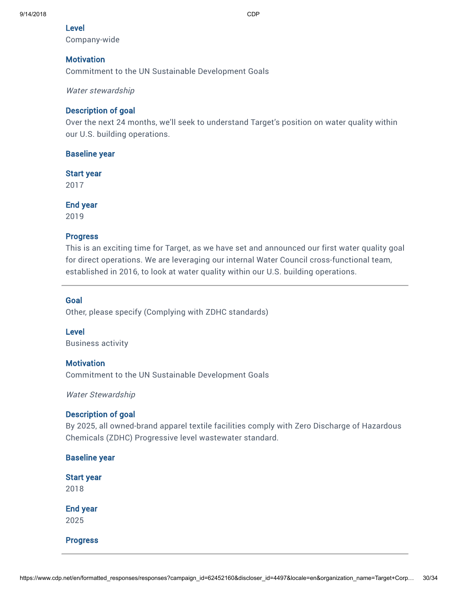#### Level

Company-wide

## **Motivation**

Commitment to the UN Sustainable Development Goals

Water stewardship

## Description of goal

Over the next 24 months, we'll seek to understand Target's position on water quality within our U.S. building operations.

## Baseline year

## Start year

2017

End year

2019

## Progress

This is an exciting time for Target, as we have set and announced our first water quality goal for direct operations. We are leveraging our internal Water Council cross-functional team, established in 2016, to look at water quality within our U.S. building operations.

## Goal

Other, please specify (Complying with ZDHC standards)

## Level

Business activity

## **Motivation**

Commitment to the UN Sustainable Development Goals

Water Stewardship

## Description of goal

By 2025, all owned-brand apparel textile facilities comply with Zero Discharge of Hazardous Chemicals (ZDHC) Progressive level wastewater standard.

## Baseline year

#### Start year 2018

End year 2025

Progress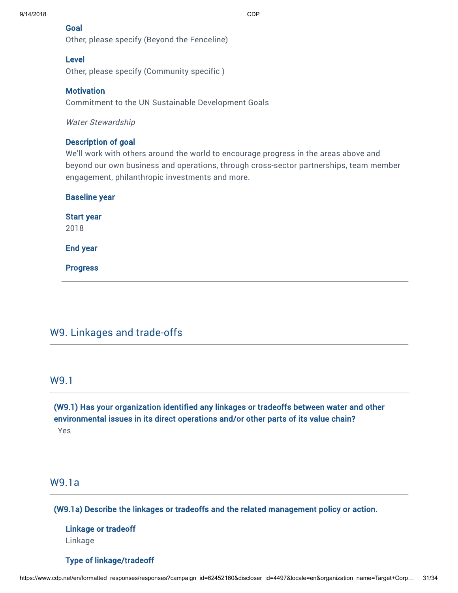#### 9/14/2018 CDP

#### Goal

Other, please specify (Beyond the Fenceline)

#### Level

Other, please specify (Community specific )

#### **Motivation**

Commitment to the UN Sustainable Development Goals

Water Stewardship

#### Description of goal

We'll work with others around the world to encourage progress in the areas above and beyond our own business and operations, through cross-sector partnerships, team member engagement, philanthropic investments and more.

| <b>Baseline year</b>      |  |  |  |
|---------------------------|--|--|--|
| <b>Start year</b><br>2018 |  |  |  |
| <b>End year</b>           |  |  |  |
| <b>Progress</b>           |  |  |  |
|                           |  |  |  |

# W9. Linkages and trade-offs

## W9.1

(W9.1) Has your organization identified any linkages or tradeoffs between water and other environmental issues in its direct operations and/or other parts of its value chain? Yes

# W9.1a

(W9.1a) Describe the linkages or tradeoffs and the related management policy or action.

# Linkage or tradeoff Linkage

#### Type of linkage/tradeoff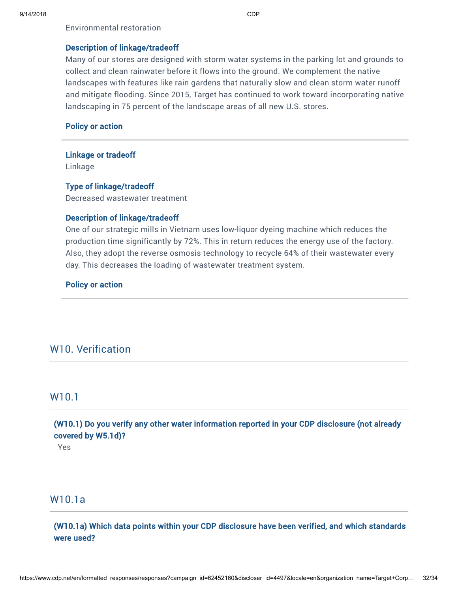Environmental restoration

#### Description of linkage/tradeoff

Many of our stores are designed with storm water systems in the parking lot and grounds to collect and clean rainwater before it flows into the ground. We complement the native landscapes with features like rain gardens that naturally slow and clean storm water runoff and mitigate flooding. Since 2015, Target has continued to work toward incorporating native landscaping in 75 percent of the landscape areas of all new U.S. stores.

#### Policy or action

#### Linkage or tradeoff

Linkage

#### Type of linkage/tradeoff

Decreased wastewater treatment

#### Description of linkage/tradeoff

One of our strategic mills in Vietnam uses low-liquor dyeing machine which reduces the production time significantly by 72%. This in return reduces the energy use of the factory. Also, they adopt the reverse osmosis technology to recycle 64% of their wastewater every day. This decreases the loading of wastewater treatment system.

#### Policy or action

# W10. Verification

#### W10.1

# (W10.1) Do you verify any other water information reported in your CDP disclosure (not already covered by W5.1d)?

Yes

# W10.1a

(W10.1a) Which data points within your CDP disclosure have been verified, and which standards were used?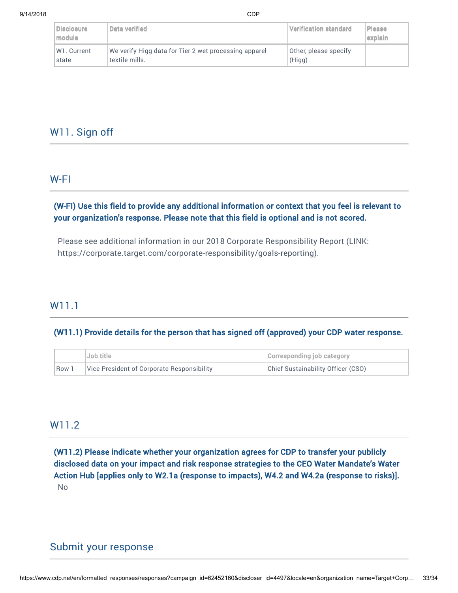| <b>Disclosure</b><br>module | Data verified                                         | Verification standard | <b>Please</b><br>explain |
|-----------------------------|-------------------------------------------------------|-----------------------|--------------------------|
| W <sub>1</sub> . Current    | We verify Higg data for Tier 2 wet processing apparel | Other, please specify |                          |
| state                       | textile mills.                                        | (Hiqq)                |                          |

# W11. Sign off

# W-FI

## (W-FI) Use this field to provide any additional information or context that you feel is relevant to your organization's response. Please note that this field is optional and is not scored.

Please see additional information in our 2018 Corporate Responsibility Report (LINK: <https://corporate.target.com/corporate-responsibility/goals-reporting>).

# W11.1

#### (W11.1) Provide details for the person that has signed off (approved) your CDP water response.

|                  | Job title                                  | Corresponding job category         |
|------------------|--------------------------------------------|------------------------------------|
| Row <sup>:</sup> | Vice President of Corporate Responsibility | Chief Sustainability Officer (CSO) |

# W11.2

(W11.2) Please indicate whether your organization agrees for CDP to transfer your publicly disclosed data on your impact and risk response strategies to the CEO Water Mandate's Water Action Hub [applies only to W2.1a (response to impacts), W4.2 and W4.2a (response to risks)]. No

# Submit your response